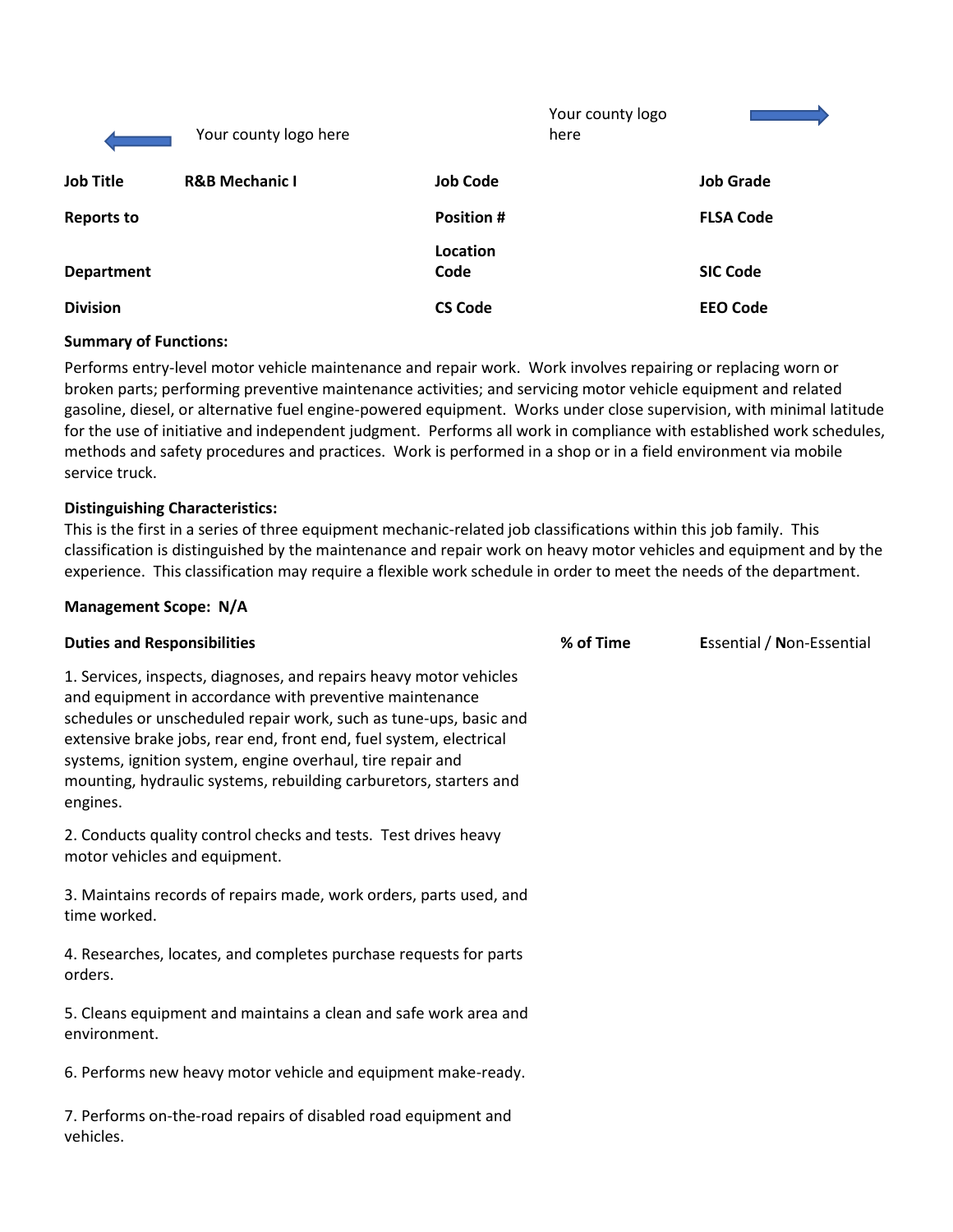|                   | Your county logo here     |                   | Your county logo<br>here |                  |
|-------------------|---------------------------|-------------------|--------------------------|------------------|
| <b>Job Title</b>  | <b>R&amp;B Mechanic I</b> | <b>Job Code</b>   |                          | <b>Job Grade</b> |
| <b>Reports to</b> |                           | <b>Position #</b> |                          | <b>FLSA Code</b> |
| <b>Department</b> |                           | Location<br>Code  |                          | <b>SIC Code</b>  |
| <b>Division</b>   |                           | <b>CS Code</b>    |                          | <b>EEO Code</b>  |

## **Summary of Functions:**

Performs entry-level motor vehicle maintenance and repair work. Work involves repairing or replacing worn or broken parts; performing preventive maintenance activities; and servicing motor vehicle equipment and related gasoline, diesel, or alternative fuel engine-powered equipment. Works under close supervision, with minimal latitude for the use of initiative and independent judgment. Performs all work in compliance with established work schedules, methods and safety procedures and practices. Work is performed in a shop or in a field environment via mobile service truck.

### **Distinguishing Characteristics:**

This is the first in a series of three equipment mechanic-related job classifications within this job family. This classification is distinguished by the maintenance and repair work on heavy motor vehicles and equipment and by the experience. This classification may require a flexible work schedule in order to meet the needs of the department.

### **Management Scope: N/A**

| <b>Duties and Responsibilities</b>                                                                                                                                                                                                                                                                                                                                                                                      | % of Time | Essential / Non-Essential |
|-------------------------------------------------------------------------------------------------------------------------------------------------------------------------------------------------------------------------------------------------------------------------------------------------------------------------------------------------------------------------------------------------------------------------|-----------|---------------------------|
| 1. Services, inspects, diagnoses, and repairs heavy motor vehicles<br>and equipment in accordance with preventive maintenance<br>schedules or unscheduled repair work, such as tune-ups, basic and<br>extensive brake jobs, rear end, front end, fuel system, electrical<br>systems, ignition system, engine overhaul, tire repair and<br>mounting, hydraulic systems, rebuilding carburetors, starters and<br>engines. |           |                           |
| 2. Conducts quality control checks and tests. Test drives heavy<br>motor vehicles and equipment.                                                                                                                                                                                                                                                                                                                        |           |                           |
| 3. Maintains records of repairs made, work orders, parts used, and<br>time worked.                                                                                                                                                                                                                                                                                                                                      |           |                           |
| 4. Researches, locates, and completes purchase requests for parts<br>orders.                                                                                                                                                                                                                                                                                                                                            |           |                           |
| 5. Cleans equipment and maintains a clean and safe work area and<br>environment.                                                                                                                                                                                                                                                                                                                                        |           |                           |
| 6. Performs new heavy motor vehicle and equipment make-ready.                                                                                                                                                                                                                                                                                                                                                           |           |                           |
| 7. Performs on-the-road repairs of disabled road equipment and<br>vehicles.                                                                                                                                                                                                                                                                                                                                             |           |                           |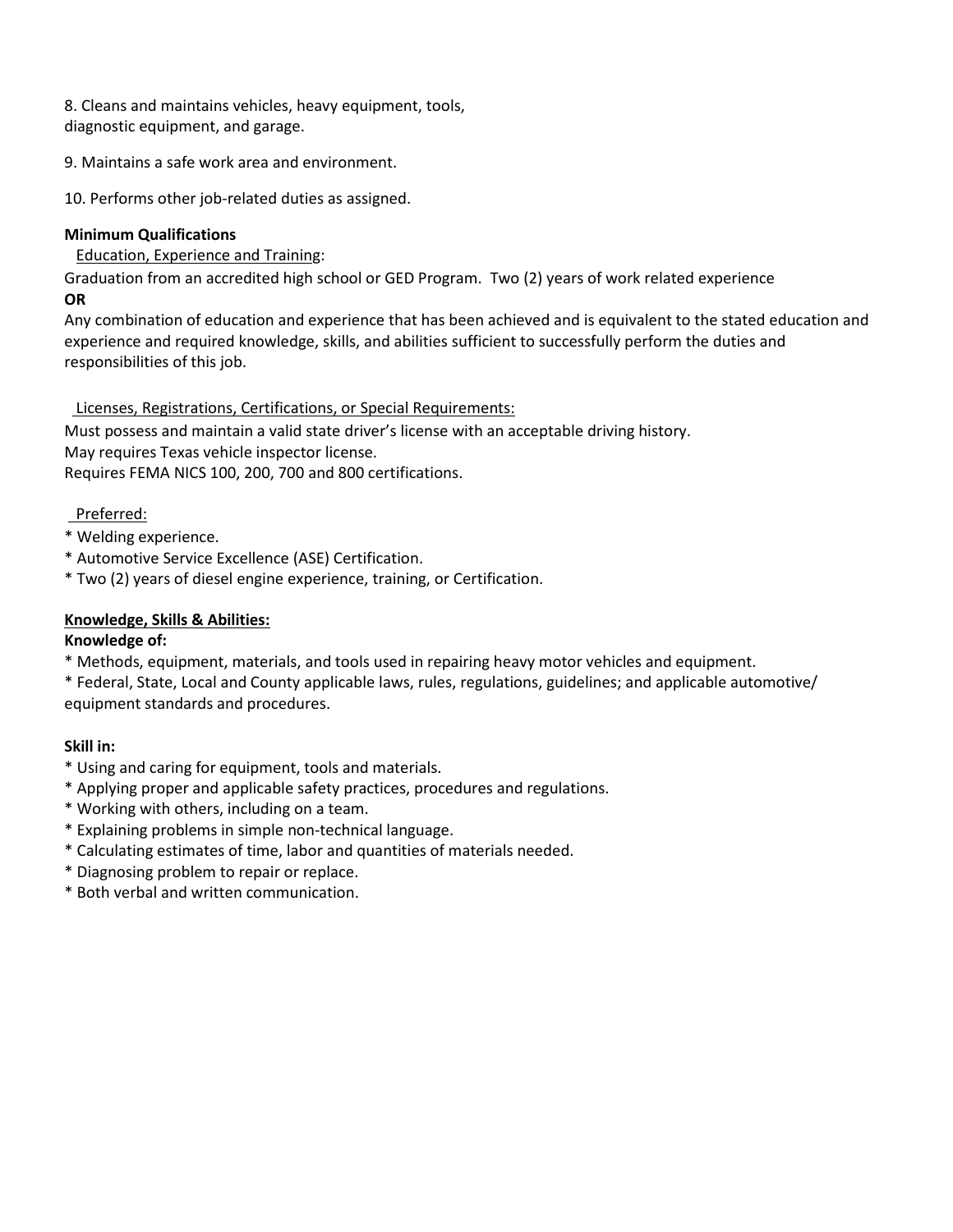8. Cleans and maintains vehicles, heavy equipment, tools, diagnostic equipment, and garage.

9. Maintains a safe work area and environment.

10. Performs other job-related duties as assigned.

# **Minimum Qualifications**

Education, Experience and Training:

Graduation from an accredited high school or GED Program. Two (2) years of work related experience **OR**

Any combination of education and experience that has been achieved and is equivalent to the stated education and experience and required knowledge, skills, and abilities sufficient to successfully perform the duties and responsibilities of this job.

# Licenses, Registrations, Certifications, or Special Requirements:

Must possess and maintain a valid state driver's license with an acceptable driving history. May requires Texas vehicle inspector license. Requires FEMA NICS 100, 200, 700 and 800 certifications.

# Preferred:

- \* Welding experience.
- \* Automotive Service Excellence (ASE) Certification.
- \* Two (2) years of diesel engine experience, training, or Certification.

# **Knowledge, Skills & Abilities:**

## **Knowledge of:**

\* Methods, equipment, materials, and tools used in repairing heavy motor vehicles and equipment.

\* Federal, State, Local and County applicable laws, rules, regulations, guidelines; and applicable automotive/ equipment standards and procedures.

## **Skill in:**

- \* Using and caring for equipment, tools and materials.
- \* Applying proper and applicable safety practices, procedures and regulations.
- \* Working with others, including on a team.
- \* Explaining problems in simple non-technical language.
- \* Calculating estimates of time, labor and quantities of materials needed.
- \* Diagnosing problem to repair or replace.
- \* Both verbal and written communication.